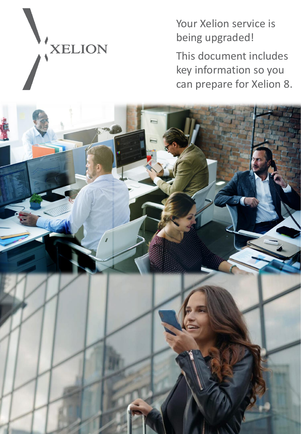XELION

Your Xelion service is being upgraded!

This document includes key information so you can prepare for Xelion 8.

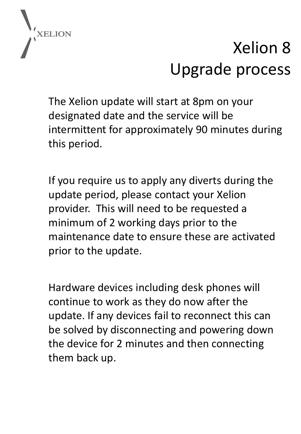

# Xelion 8 Upgrade process

The Xelion update will start at 8pm on your designated date and the service will be intermittent for approximately 90 minutes during this period.

If you require us to apply any diverts during the update period, please contact your Xelion provider. This will need to be requested a minimum of 2 working days prior to the maintenance date to ensure these are activated prior to the update.

Hardware devices including desk phones will continue to work as they do now after the update. If any devices fail to reconnect this can be solved by disconnecting and powering down the device for 2 minutes and then connecting them back up.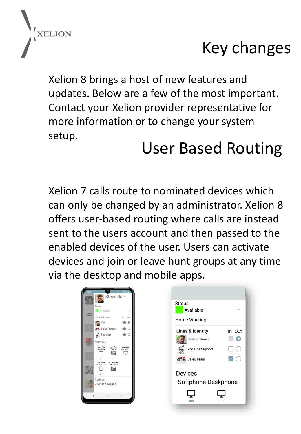

#### Key changes

Xelion 8 brings a host of new features and updates. Below are a few of the most important. Contact your Xelion provider representative for more information or to change your system setup.

#### User Based Routing

Xelion 7 calls route to nominated devices which can only be changed by an administrator. Xelion 8 offers user-based routing where calls are instead sent to the users account and then passed to the enabled devices of the user. Users can activate devices and join or leave hunt groups at any time via the desktop and mobile apps.

| 09.47           | 解見する<br><b>Steve Rae</b>                              |                       |  |  |  |  |  |
|-----------------|-------------------------------------------------------|-----------------------|--|--|--|--|--|
|                 | <b>Status</b><br>Available                            |                       |  |  |  |  |  |
| WE <sup>V</sup> | Identity & Lines                                      | in out                |  |  |  |  |  |
|                 | $M_e$                                                 | $\circledcirc$        |  |  |  |  |  |
|                 | <b>WEB</b> Sales Team                                 |                       |  |  |  |  |  |
|                 | $\leq$ Support                                        |                       |  |  |  |  |  |
|                 | My Phones                                             |                       |  |  |  |  |  |
|                 | Steve Rae<br><b>Steve Rae</b><br>Yealink<br>Softphone | Steve Rae<br>MS Teams |  |  |  |  |  |
|                 |                                                       |                       |  |  |  |  |  |
|                 | Steve Rae<br>Board Room                               |                       |  |  |  |  |  |
|                 | Conf Phone<br>Mobile App                              |                       |  |  |  |  |  |
|                 |                                                       |                       |  |  |  |  |  |
|                 | Redirect                                              |                       |  |  |  |  |  |
|                 | +441332943555                                         |                       |  |  |  |  |  |
|                 | Ш<br>$\bigcirc$                                       | ł.                    |  |  |  |  |  |

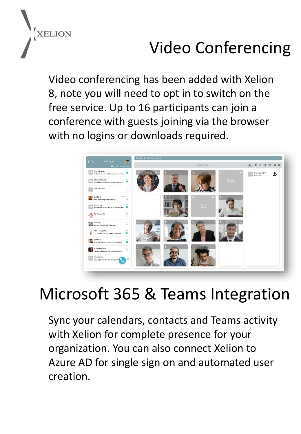

## Video Conferencing

Video conferencing has been added with Xelion 8, note you will need to opt in to switch on the free service. Up to 16 participants can join a conference with guests joining via the browser with no logins or downloads required.



#### Microsoft 365 & Teams Integration

Sync your calendars, contacts and Teams activity with Xelion for complete presence for your organization. You can also connect Xelion to Azure AD for single sign on and automated user creation.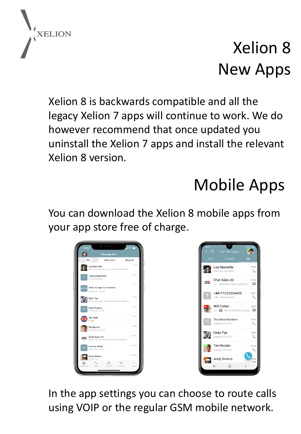

## Xelion 8 New Apps

Xelion 8 is backwards compatible and all the legacy Xelion 7 apps will continue to work. We do however recommend that once updated you uninstall the Xelion 7 apps and install the relevant Xelion 8 version.

## Mobile Apps

You can download the Xelion 8 mobile apps from your app store free of charge.





In the app settings you can choose to route calls using VOIP or the regular GSM mobile network.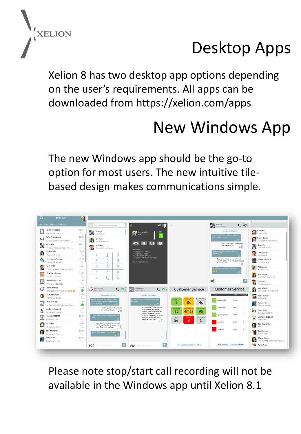

## Desktop Apps

Xelion 8 has two desktop app options depending on the user's requirements. All apps can be downloaded from https://xelion.com/apps

### New Windows App

The new Windows app should be the go-to option for most users. The new intuitive tilebased design makes communications simple.



Please note stop/start call recording will not be available in the Windows app until Xelion 8.1